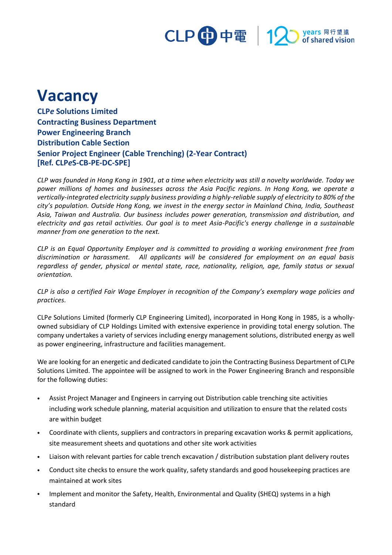### CLP 中電 | 12 years 同行望遠<br>of shared vision

# **Vacancy**

**CLP***e* **Solutions Limited Contracting Business Department Power Engineering Branch Distribution Cable Section Senior Project Engineer (Cable Trenching) (2-Year Contract) [Ref. CLP***e***S-CB-PE-DC-SPE]**

*CLP was founded in Hong Kong in 1901, at a time when electricity was still a novelty worldwide. Today we power millions of homes and businesses across the Asia Pacific regions. In Hong Kong, we operate a vertically-integrated electricity supply business providing a highly-reliable supply of electricity to 80% of the city's population. Outside Hong Kong, we invest in the energy sector in Mainland China, India, Southeast Asia, Taiwan and Australia. Our business includes power generation, transmission and distribution, and electricity and gas retail activities. Our goal is to meet Asia-Pacific's energy challenge in a sustainable manner from one generation to the next.*

*CLP is an Equal Opportunity Employer and is committed to providing a working environment free from discrimination or harassment. All applicants will be considered for employment on an equal basis regardless of gender, physical or mental state, race, nationality, religion, age, family status or sexual orientation.*

*CLP is also a certified Fair Wage Employer in recognition of the Company's exemplary wage policies and practices.*

CLP*e* Solutions Limited (formerly CLP Engineering Limited), incorporated in Hong Kong in 1985, is a whollyowned subsidiary of CLP Holdings Limited with extensive experience in providing total energy solution. The company undertakes a variety of services including energy management solutions, distributed energy as well as power engineering, infrastructure and facilities management.

We are looking for an energetic and dedicated candidate to join the Contracting Business Department of CLPe Solutions Limited. The appointee will be assigned to work in the Power Engineering Branch and responsible for the following duties:

- Assist Project Manager and Engineers in carrying out Distribution cable trenching site activities including work schedule planning, material acquisition and utilization to ensure that the related costs are within budget
- Coordinate with clients, suppliers and contractors in preparing excavation works & permit applications, site measurement sheets and quotations and other site work activities
- Liaison with relevant parties for cable trench excavation / distribution substation plant delivery routes
- Conduct site checks to ensure the work quality, safety standards and good housekeeping practices are maintained at work sites
- Implement and monitor the Safety, Health, Environmental and Quality (SHEQ) systems in a high standard